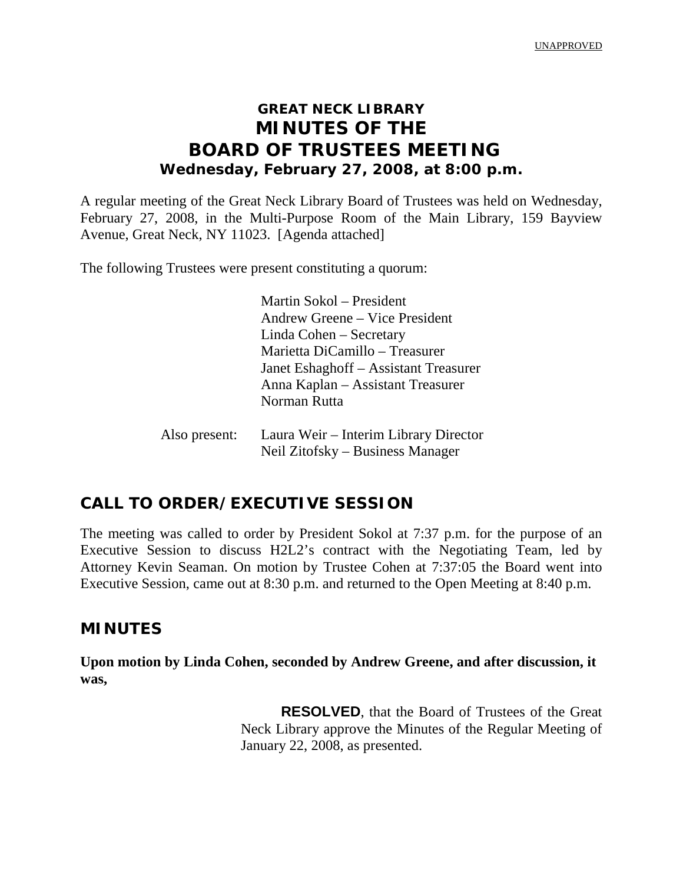UNAPPROVED

# **GREAT NECK LIBRARY MINUTES OF THE BOARD OF TRUSTEES MEETING Wednesday, February 27, 2008, at 8:00 p.m.**

A regular meeting of the Great Neck Library Board of Trustees was held on Wednesday, February 27, 2008, in the Multi-Purpose Room of the Main Library, 159 Bayview Avenue, Great Neck, NY 11023. [Agenda attached]

The following Trustees were present constituting a quorum:

Martin Sokol – President Andrew Greene – Vice President Linda Cohen – Secretary Marietta DiCamillo – Treasurer Janet Eshaghoff – Assistant Treasurer Anna Kaplan – Assistant Treasurer Norman Rutta

| Also present: | Laura Weir – Interim Library Director |
|---------------|---------------------------------------|
|               | Neil Zitofsky – Business Manager      |

## **CALL TO ORDER/EXECUTIVE SESSION**

The meeting was called to order by President Sokol at 7:37 p.m. for the purpose of an Executive Session to discuss H2L2's contract with the Negotiating Team, led by Attorney Kevin Seaman. On motion by Trustee Cohen at 7:37:05 the Board went into Executive Session, came out at 8:30 p.m. and returned to the Open Meeting at 8:40 p.m.

### **MINUTES**

**Upon motion by Linda Cohen, seconded by Andrew Greene, and after discussion, it was,**

> **RESOLVED**, that the Board of Trustees of the Great Neck Library approve the Minutes of the Regular Meeting of January 22, 2008, as presented.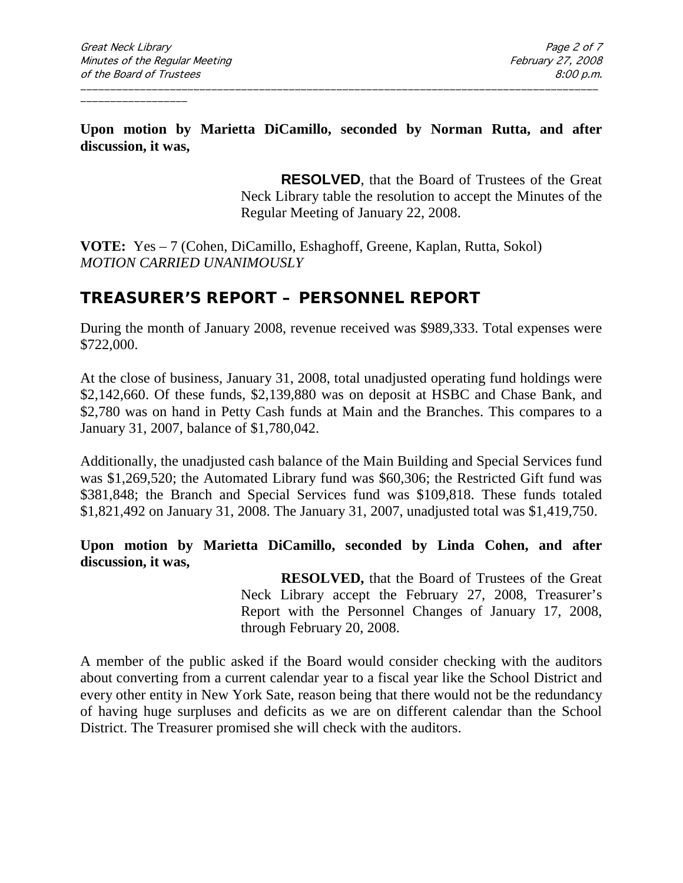**Upon motion by Marietta DiCamillo, seconded by Norman Rutta, and after discussion, it was,**

\_\_\_\_\_\_\_\_\_\_\_\_\_\_\_\_\_\_\_\_\_\_\_\_\_\_\_\_\_\_\_\_\_\_\_\_\_\_\_\_\_\_\_\_\_\_\_\_\_\_\_\_\_\_\_\_\_\_\_\_\_\_\_\_\_\_\_\_\_\_\_\_\_\_\_\_\_\_\_\_\_\_\_\_\_\_\_

**RESOLVED**, that the Board of Trustees of the Great Neck Library table the resolution to accept the Minutes of the Regular Meeting of January 22, 2008.

**VOTE:** Yes – 7 (Cohen, DiCamillo, Eshaghoff, Greene, Kaplan, Rutta, Sokol) *MOTION CARRIED UNANIMOUSLY*

## **TREASURER'S REPORT – PERSONNEL REPORT**

During the month of January 2008, revenue received was \$989,333. Total expenses were \$722,000.

At the close of business, January 31, 2008, total unadjusted operating fund holdings were \$2,142,660. Of these funds, \$2,139,880 was on deposit at HSBC and Chase Bank, and \$2,780 was on hand in Petty Cash funds at Main and the Branches. This compares to a January 31, 2007, balance of \$1,780,042.

Additionally, the unadjusted cash balance of the Main Building and Special Services fund was \$1,269,520; the Automated Library fund was \$60,306; the Restricted Gift fund was \$381,848; the Branch and Special Services fund was \$109,818. These funds totaled \$1,821,492 on January 31, 2008. The January 31, 2007, unadjusted total was \$1,419,750.

**Upon motion by Marietta DiCamillo, seconded by Linda Cohen, and after discussion, it was,**

> **RESOLVED,** that the Board of Trustees of the Great Neck Library accept the February 27, 2008, Treasurer's Report with the Personnel Changes of January 17, 2008, through February 20, 2008.

A member of the public asked if the Board would consider checking with the auditors about converting from a current calendar year to a fiscal year like the School District and every other entity in New York Sate, reason being that there would not be the redundancy of having huge surpluses and deficits as we are on different calendar than the School District. The Treasurer promised she will check with the auditors.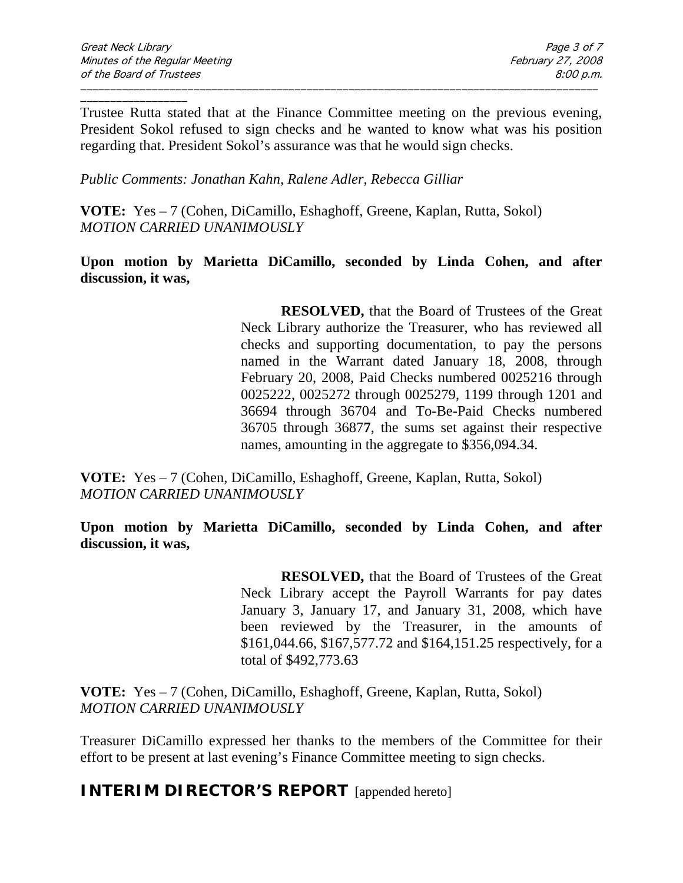Trustee Rutta stated that at the Finance Committee meeting on the previous evening, President Sokol refused to sign checks and he wanted to know what was his position regarding that. President Sokol's assurance was that he would sign checks.

\_\_\_\_\_\_\_\_\_\_\_\_\_\_\_\_\_\_\_\_\_\_\_\_\_\_\_\_\_\_\_\_\_\_\_\_\_\_\_\_\_\_\_\_\_\_\_\_\_\_\_\_\_\_\_\_\_\_\_\_\_\_\_\_\_\_\_\_\_\_\_\_\_\_\_\_\_\_\_\_\_\_\_\_\_\_\_

*Public Comments: Jonathan Kahn, Ralene Adler, Rebecca Gilliar*

**VOTE:** Yes – 7 (Cohen, DiCamillo, Eshaghoff, Greene, Kaplan, Rutta, Sokol) *MOTION CARRIED UNANIMOUSLY*

**Upon motion by Marietta DiCamillo, seconded by Linda Cohen, and after discussion, it was,**

> **RESOLVED,** that the Board of Trustees of the Great Neck Library authorize the Treasurer, who has reviewed all checks and supporting documentation, to pay the persons named in the Warrant dated January 18, 2008, through February 20, 2008, Paid Checks numbered 0025216 through 0025222, 0025272 through 0025279, 1199 through 1201 and 36694 through 36704 and To-Be-Paid Checks numbered 36705 through 3687**7**, the sums set against their respective names, amounting in the aggregate to \$356,094.34.

**VOTE:** Yes – 7 (Cohen, DiCamillo, Eshaghoff, Greene, Kaplan, Rutta, Sokol) *MOTION CARRIED UNANIMOUSLY*

**Upon motion by Marietta DiCamillo, seconded by Linda Cohen, and after discussion, it was,**

> **RESOLVED,** that the Board of Trustees of the Great Neck Library accept the Payroll Warrants for pay dates January 3, January 17, and January 31, 2008, which have been reviewed by the Treasurer, in the amounts of \$161,044.66, \$167,577.72 and \$164,151.25 respectively, for a total of \$492,773.63

**VOTE:** Yes – 7 (Cohen, DiCamillo, Eshaghoff, Greene, Kaplan, Rutta, Sokol) *MOTION CARRIED UNANIMOUSLY*

Treasurer DiCamillo expressed her thanks to the members of the Committee for their effort to be present at last evening's Finance Committee meeting to sign checks.

**INTERIM DIRECTOR'S REPORT** [appended hereto]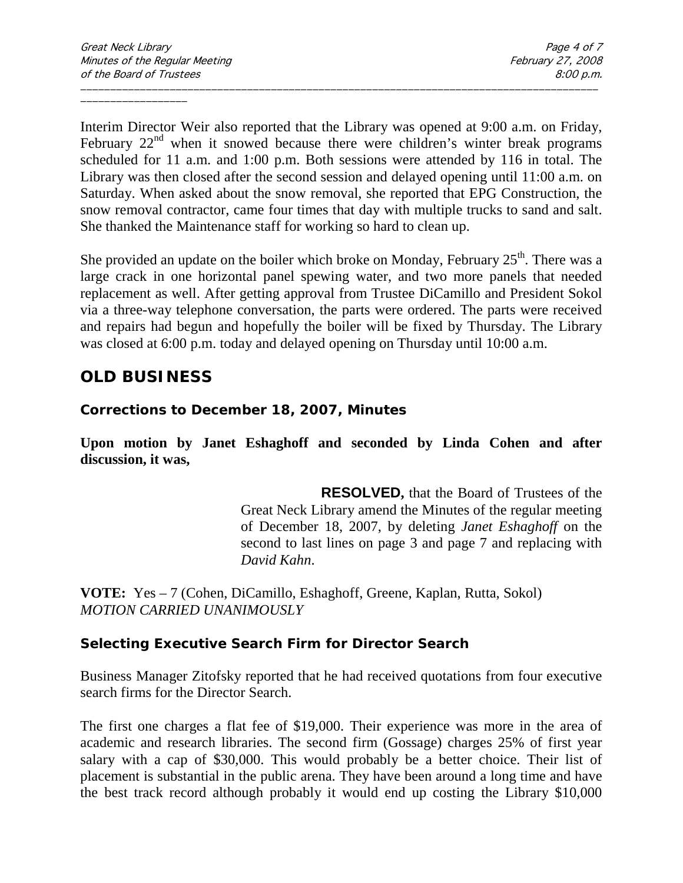Interim Director Weir also reported that the Library was opened at 9:00 a.m. on Friday, February  $22<sup>nd</sup>$  when it snowed because there were children's winter break programs scheduled for 11 a.m. and 1:00 p.m. Both sessions were attended by 116 in total. The Library was then closed after the second session and delayed opening until 11:00 a.m. on Saturday. When asked about the snow removal, she reported that EPG Construction, the snow removal contractor, came four times that day with multiple trucks to sand and salt. She thanked the Maintenance staff for working so hard to clean up.

\_\_\_\_\_\_\_\_\_\_\_\_\_\_\_\_\_\_\_\_\_\_\_\_\_\_\_\_\_\_\_\_\_\_\_\_\_\_\_\_\_\_\_\_\_\_\_\_\_\_\_\_\_\_\_\_\_\_\_\_\_\_\_\_\_\_\_\_\_\_\_\_\_\_\_\_\_\_\_\_\_\_\_\_\_\_\_

She provided an update on the boiler which broke on Monday, February  $25<sup>th</sup>$ . There was a large crack in one horizontal panel spewing water, and two more panels that needed replacement as well. After getting approval from Trustee DiCamillo and President Sokol via a three-way telephone conversation, the parts were ordered. The parts were received and repairs had begun and hopefully the boiler will be fixed by Thursday. The Library was closed at 6:00 p.m. today and delayed opening on Thursday until 10:00 a.m.

## **OLD BUSINESS**

**Corrections to December 18, 2007, Minutes**

**Upon motion by Janet Eshaghoff and seconded by Linda Cohen and after discussion, it was,**

> **RESOLVED,** that the Board of Trustees of the Great Neck Library amend the Minutes of the regular meeting of December 18, 2007, by deleting *Janet Eshaghoff* on the second to last lines on page 3 and page 7 and replacing with *David Kahn*.

**VOTE:** Yes – 7 (Cohen, DiCamillo, Eshaghoff, Greene, Kaplan, Rutta, Sokol) *MOTION CARRIED UNANIMOUSLY*

#### **Selecting Executive Search Firm for Director Search**

Business Manager Zitofsky reported that he had received quotations from four executive search firms for the Director Search.

The first one charges a flat fee of \$19,000. Their experience was more in the area of academic and research libraries. The second firm (Gossage) charges 25% of first year salary with a cap of \$30,000. This would probably be a better choice. Their list of placement is substantial in the public arena. They have been around a long time and have the best track record although probably it would end up costing the Library \$10,000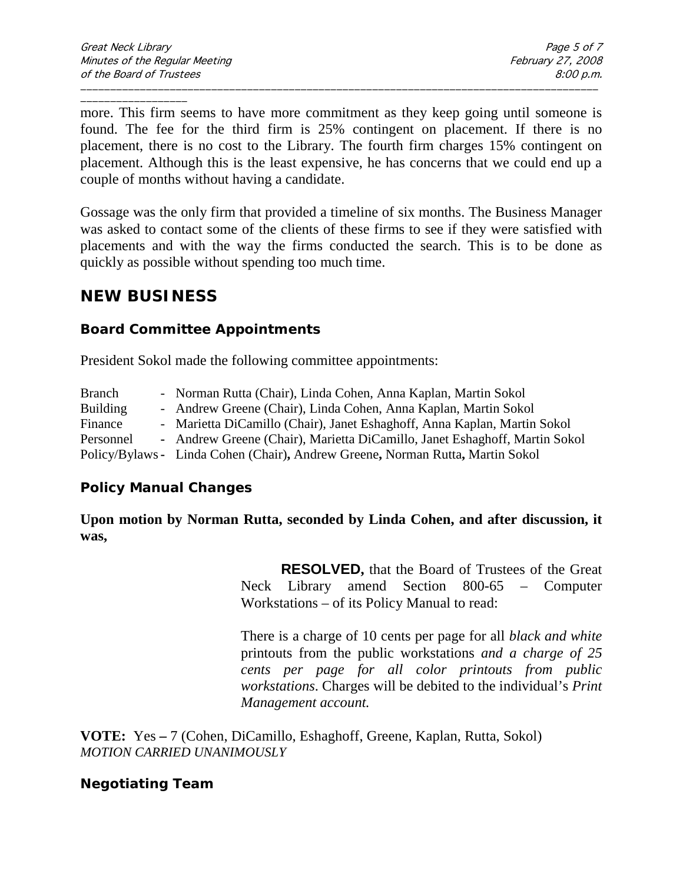\_\_\_\_\_\_\_\_\_\_\_\_\_\_\_\_\_\_ more. This firm seems to have more commitment as they keep going until someone is found. The fee for the third firm is 25% contingent on placement. If there is no placement, there is no cost to the Library. The fourth firm charges 15% contingent on placement. Although this is the least expensive, he has concerns that we could end up a couple of months without having a candidate.

\_\_\_\_\_\_\_\_\_\_\_\_\_\_\_\_\_\_\_\_\_\_\_\_\_\_\_\_\_\_\_\_\_\_\_\_\_\_\_\_\_\_\_\_\_\_\_\_\_\_\_\_\_\_\_\_\_\_\_\_\_\_\_\_\_\_\_\_\_\_\_\_\_\_\_\_\_\_\_\_\_\_\_\_\_\_\_

Gossage was the only firm that provided a timeline of six months. The Business Manager was asked to contact some of the clients of these firms to see if they were satisfied with placements and with the way the firms conducted the search. This is to be done as quickly as possible without spending too much time.

## **NEW BUSINESS**

#### **Board Committee Appointments**

President Sokol made the following committee appointments:

| <b>Branch</b>   | - Norman Rutta (Chair), Linda Cohen, Anna Kaplan, Martin Sokol                 |
|-----------------|--------------------------------------------------------------------------------|
| <b>Building</b> | - Andrew Greene (Chair), Linda Cohen, Anna Kaplan, Martin Sokol                |
| Finance         | - Marietta DiCamillo (Chair), Janet Eshaghoff, Anna Kaplan, Martin Sokol       |
| Personnel       | - Andrew Greene (Chair), Marietta DiCamillo, Janet Eshaghoff, Martin Sokol     |
|                 | Policy/Bylaws - Linda Cohen (Chair), Andrew Greene, Norman Rutta, Martin Sokol |

#### **Policy Manual Changes**

**Upon motion by Norman Rutta, seconded by Linda Cohen, and after discussion, it was,**

> **RESOLVED,** that the Board of Trustees of the Great Neck Library amend Section 800-65 – Computer Workstations – of its Policy Manual to read:

> There is a charge of 10 cents per page for all *black and white* printouts from the public workstations *and a charge of 25 cents per page for all color printouts from public workstations*. Charges will be debited to the individual's *Print Management account.*

**VOTE:** Yes **–** 7 (Cohen, DiCamillo, Eshaghoff, Greene, Kaplan, Rutta, Sokol) *MOTION CARRIED UNANIMOUSLY*

#### **Negotiating Team**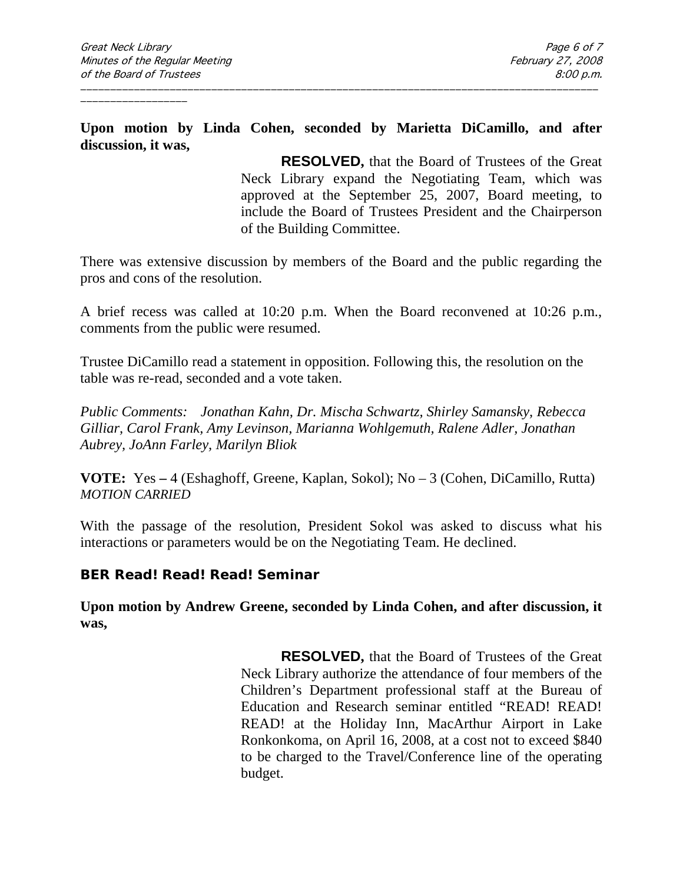**Upon motion by Linda Cohen, seconded by Marietta DiCamillo, and after discussion, it was,**

\_\_\_\_\_\_\_\_\_\_\_\_\_\_\_\_\_\_\_\_\_\_\_\_\_\_\_\_\_\_\_\_\_\_\_\_\_\_\_\_\_\_\_\_\_\_\_\_\_\_\_\_\_\_\_\_\_\_\_\_\_\_\_\_\_\_\_\_\_\_\_\_\_\_\_\_\_\_\_\_\_\_\_\_\_\_\_

**RESOLVED,** that the Board of Trustees of the Great Neck Library expand the Negotiating Team, which was approved at the September 25, 2007, Board meeting, to include the Board of Trustees President and the Chairperson of the Building Committee.

There was extensive discussion by members of the Board and the public regarding the pros and cons of the resolution.

A brief recess was called at 10:20 p.m. When the Board reconvened at 10:26 p.m., comments from the public were resumed.

Trustee DiCamillo read a statement in opposition. Following this, the resolution on the table was re-read, seconded and a vote taken.

*Public Comments: Jonathan Kahn, Dr. Mischa Schwartz, Shirley Samansky, Rebecca Gilliar, Carol Frank, Amy Levinson, Marianna Wohlgemuth, Ralene Adler, Jonathan Aubrey, JoAnn Farley, Marilyn Bliok*

**VOTE:** Yes **–** 4 (Eshaghoff, Greene, Kaplan, Sokol); No – 3 (Cohen, DiCamillo, Rutta) *MOTION CARRIED* 

With the passage of the resolution, President Sokol was asked to discuss what his interactions or parameters would be on the Negotiating Team. He declined.

#### **BER Read! Read! Read! Seminar**

**Upon motion by Andrew Greene, seconded by Linda Cohen, and after discussion, it was,**

> **RESOLVED,** that the Board of Trustees of the Great Neck Library authorize the attendance of four members of the Children's Department professional staff at the Bureau of Education and Research seminar entitled "READ! READ! READ! at the Holiday Inn, MacArthur Airport in Lake Ronkonkoma, on April 16, 2008, at a cost not to exceed \$840 to be charged to the Travel/Conference line of the operating budget.